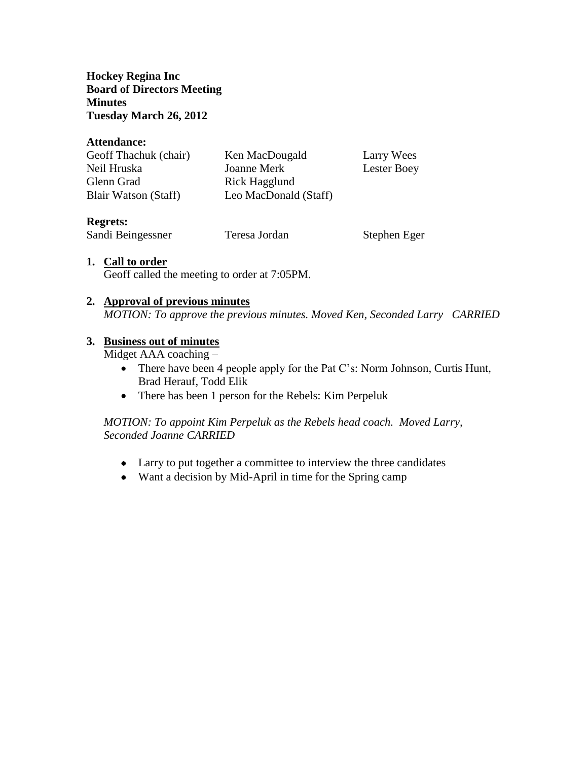**Hockey Regina Inc Board of Directors Meeting Minutes Tuesday March 26, 2012**

#### **Attendance:**

| Ken MacDougald        | Larry Wees  |
|-----------------------|-------------|
| Joanne Merk           | Lester Boey |
| Rick Hagglund         |             |
| Leo MacDonald (Staff) |             |
|                       |             |

### **Regrets:**

Sandi Beingessner Teresa Jordan Stephen Eger

### **1. Call to order**

Geoff called the meeting to order at 7:05PM.

#### **2. Approval of previous minutes**

*MOTION: To approve the previous minutes. Moved Ken, Seconded Larry CARRIED*

### **3. Business out of minutes**

Midget AAA coaching –

- There have been 4 people apply for the Pat C's: Norm Johnson, Curtis Hunt, Brad Herauf, Todd Elik
- There has been 1 person for the Rebels: Kim Perpeluk

## *MOTION: To appoint Kim Perpeluk as the Rebels head coach. Moved Larry, Seconded Joanne CARRIED*

- Larry to put together a committee to interview the three candidates
- Want a decision by Mid-April in time for the Spring camp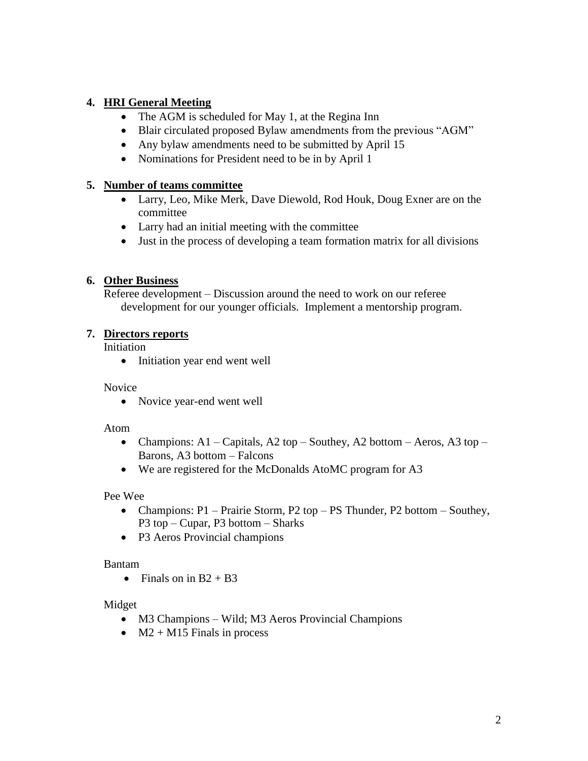# **4. HRI General Meeting**

- The AGM is scheduled for May 1, at the Regina Inn
- Blair circulated proposed Bylaw amendments from the previous "AGM"
- Any bylaw amendments need to be submitted by April 15
- Nominations for President need to be in by April 1

## **5. Number of teams committee**

- Larry, Leo, Mike Merk, Dave Diewold, Rod Houk, Doug Exner are on the committee
- Larry had an initial meeting with the committee
- Just in the process of developing a team formation matrix for all divisions

# **6. Other Business**

Referee development – Discussion around the need to work on our referee development for our younger officials. Implement a mentorship program.

# **7. Directors reports**

Initiation

• Initiation year end went well

## Novice

• Novice year-end went well

## Atom

- Champions: A1 Capitals, A2 top Southey, A2 bottom Aeros, A3 top Barons, A3 bottom – Falcons
- We are registered for the McDonalds AtoMC program for A3

## Pee Wee

- Champions: P1 Prairie Storm, P2 top PS Thunder, P2 bottom Southey, P3 top – Cupar, P3 bottom – Sharks
- P3 Aeros Provincial champions

## Bantam

• Finals on in  $B2 + B3$ 

## Midget

- M3 Champions Wild; M3 Aeros Provincial Champions
- $\bullet$  M2 + M15 Finals in process